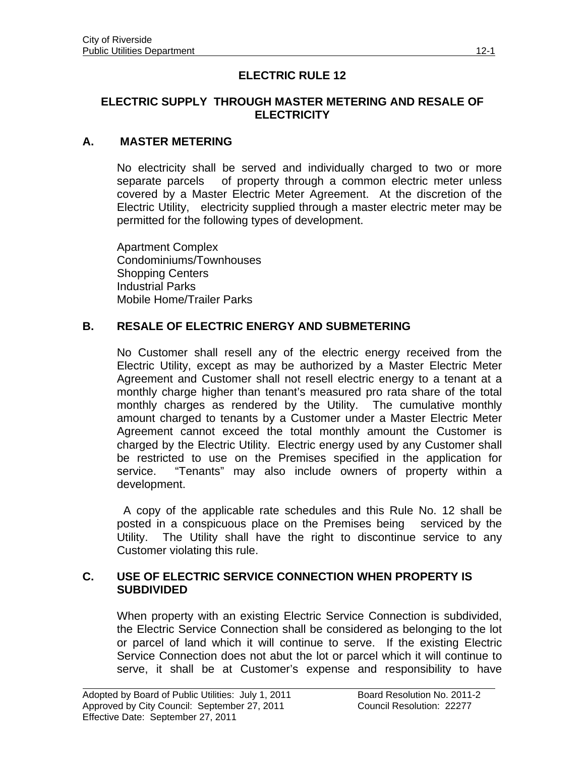# **ELECTRIC RULE 12**

#### **ELECTRIC SUPPLY THROUGH MASTER METERING AND RESALE OF ELECTRICITY**

## **A. MASTER METERING**

No electricity shall be served and individually charged to two or more separate parcels of property through a common electric meter unless covered by a Master Electric Meter Agreement. At the discretion of the Electric Utility, electricity supplied through a master electric meter may be permitted for the following types of development.

Apartment Complex Condominiums/Townhouses Shopping Centers Industrial Parks Mobile Home/Trailer Parks

### **B. RESALE OF ELECTRIC ENERGY AND SUBMETERING**

No Customer shall resell any of the electric energy received from the Electric Utility, except as may be authorized by a Master Electric Meter Agreement and Customer shall not resell electric energy to a tenant at a monthly charge higher than tenant's measured pro rata share of the total monthly charges as rendered by the Utility. The cumulative monthly amount charged to tenants by a Customer under a Master Electric Meter Agreement cannot exceed the total monthly amount the Customer is charged by the Electric Utility. Electric energy used by any Customer shall be restricted to use on the Premises specified in the application for service. "Tenants" may also include owners of property within a development.

 A copy of the applicable rate schedules and this Rule No. 12 shall be posted in a conspicuous place on the Premises being serviced by the Utility. The Utility shall have the right to discontinue service to any Customer violating this rule.

#### **C. USE OF ELECTRIC SERVICE CONNECTION WHEN PROPERTY IS SUBDIVIDED**

When property with an existing Electric Service Connection is subdivided, the Electric Service Connection shall be considered as belonging to the lot or parcel of land which it will continue to serve. If the existing Electric Service Connection does not abut the lot or parcel which it will continue to serve, it shall be at Customer's expense and responsibility to have